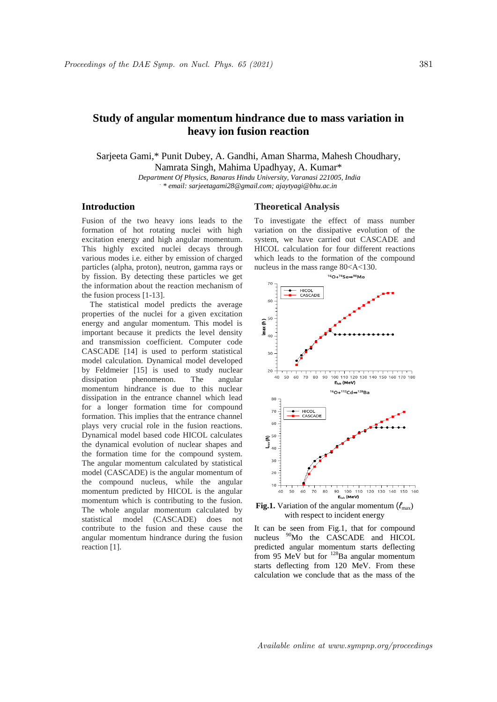# **Study of angular momentum hindrance due to mass variation in heavy ion fusion reaction**

Sarjeeta Gami,\* Punit Dubey, A. Gandhi, Aman Sharma, Mahesh Choudhary, Namrata Singh, Mahima Upadhyay, A. Kumar\*

*Department Of Physics, Banaras Hindu University, Varanasi 221005, India . \* email: sarjeetagami28@gmail.com; ajaytyagi@bhu.ac.in*

## **Introduction**

Fusion of the two heavy ions leads to the formation of hot rotating nuclei with high excitation energy and high angular momentum. This highly excited nuclei decays through various modes i.e. either by emission of charged particles (alpha, proton), neutron, gamma rays or by fission. By detecting these particles we get the information about the reaction mechanism of the fusion process [1-13].

 The statistical model predicts the average properties of the nuclei for a given excitation energy and angular momentum. This model is important because it predicts the level density and transmission coefficient. Computer code CASCADE [14] is used to perform statistical model calculation. Dynamical model developed by Feldmeier [15] is used to study nuclear dissipation phenomenon. The angular momentum hindrance is due to this nuclear dissipation in the entrance channel which lead for a longer formation time for compound formation. This implies that the entrance channel plays very crucial role in the fusion reactions. Dynamical model based code HICOL calculates the dynamical evolution of nuclear shapes and the formation time for the compound system. The angular momentum calculated by statistical model (CASCADE) is the angular momentum of the compound nucleus, while the angular momentum predicted by HICOL is the angular momentum which is contributing to the fusion. The whole angular momentum calculated by statistical model (CASCADE) does not contribute to the fusion and these cause the angular momentum hindrance during the fusion reaction [1].

## **Theoretical Analysis**

To investigate the effect of mass number variation on the dissipative evolution of the system, we have carried out CASCADE and HICOL calculation for four different reactions which leads to the formation of the compound nucleus in the mass range 80<A<130.



**Fig.1.** Variation of the angular momentum (*ℓ*max) with respect to incident energy

It can be seen from Fig.1, that for compound nucleus <sup>90</sup>Mo the CASCADE and HICOL predicted angular momentum starts deflecting from 95 MeV but for <sup>128</sup>Ba angular momentum starts deflecting from 120 MeV. From these calculation we conclude that as the mass of the